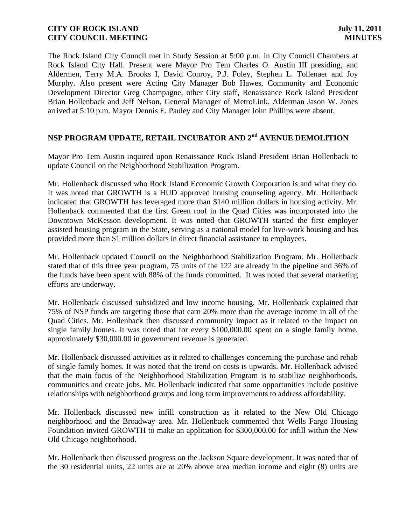The Rock Island City Council met in Study Session at 5:00 p.m. in City Council Chambers at Rock Island City Hall. Present were Mayor Pro Tem Charles O. Austin III presiding, and Aldermen, Terry M.A. Brooks I, David Conroy, P.J. Foley, Stephen L. Tollenaer and Joy Murphy. Also present were Acting City Manager Bob Hawes, Community and Economic Development Director Greg Champagne, other City staff, Renaissance Rock Island President Brian Hollenback and Jeff Nelson, General Manager of MetroLink. Alderman Jason W. Jones arrived at 5:10 p.m. Mayor Dennis E. Pauley and City Manager John Phillips were absent.

# **NSP PROGRAM UPDATE, RETAIL INCUBATOR AND 2 nd AVENUE DEMOLITION**

Mayor Pro Tem Austin inquired upon Renaissance Rock Island President Brian Hollenback to update Council on the Neighborhood Stabilization Program.

Mr. Hollenback discussed who Rock Island Economic Growth Corporation is and what they do. It was noted that GROWTH is a HUD approved housing counseling agency. Mr. Hollenback indicated that GROWTH has leveraged more than \$140 million dollars in housing activity. Mr. Hollenback commented that the first Green roof in the Quad Cities was incorporated into the Downtown McKesson development. It was noted that GROWTH started the first employer assisted housing program in the State, serving as a national model for live-work housing and has provided more than \$1 million dollars in direct financial assistance to employees.

Mr. Hollenback updated Council on the Neighborhood Stabilization Program. Mr. Hollenback stated that of this three year program, 75 units of the 122 are already in the pipeline and 36% of the funds have been spent with 88% of the funds committed. It was noted that several marketing efforts are underway.

Mr. Hollenback discussed subsidized and low income housing. Mr. Hollenback explained that 75% of NSP funds are targeting those that earn 20% more than the average income in all of the Quad Cities. Mr. Hollenback then discussed community impact as it related to the impact on single family homes. It was noted that for every \$100,000.00 spent on a single family home, approximately \$30,000.00 in government revenue is generated.

Mr. Hollenback discussed activities as it related to challenges concerning the purchase and rehab of single family homes. It was noted that the trend on costs is upwards. Mr. Hollenback advised that the main focus of the Neighborhood Stabilization Program is to stabilize neighborhoods, communities and create jobs. Mr. Hollenback indicated that some opportunities include positive relationships with neighborhood groups and long term improvements to address affordability.

Mr. Hollenback discussed new infill construction as it related to the New Old Chicago neighborhood and the Broadway area. Mr. Hollenback commented that Wells Fargo Housing Foundation invited GROWTH to make an application for \$300,000.00 for infill within the New Old Chicago neighborhood.

Mr. Hollenback then discussed progress on the Jackson Square development. It was noted that of the 30 residential units, 22 units are at 20% above area median income and eight (8) units are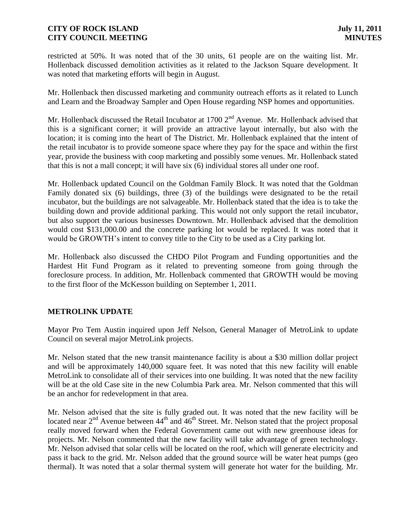restricted at 50%. It was noted that of the 30 units, 61 people are on the waiting list. Mr. Hollenback discussed demolition activities as it related to the Jackson Square development. It was noted that marketing efforts will begin in August.

Mr. Hollenback then discussed marketing and community outreach efforts as it related to Lunch and Learn and the Broadway Sampler and Open House regarding NSP homes and opportunities.

Mr. Hollenback discussed the Retail Incubator at 1700 2<sup>nd</sup> Avenue. Mr. Hollenback advised that this is a significant corner; it will provide an attractive layout internally, but also with the location; it is coming into the heart of The District. Mr. Hollenback explained that the intent of the retail incubator is to provide someone space where they pay for the space and within the first year, provide the business with coop marketing and possibly some venues. Mr. Hollenback stated that this is not a mall concept; it will have six (6) individual stores all under one roof.

Mr. Hollenback updated Council on the Goldman Family Block. It was noted that the Goldman Family donated six (6) buildings, three (3) of the buildings were designated to be the retail incubator, but the buildings are not salvageable. Mr. Hollenback stated that the idea is to take the building down and provide additional parking. This would not only support the retail incubator, but also support the various businesses Downtown. Mr. Hollenback advised that the demolition would cost \$131,000.00 and the concrete parking lot would be replaced. It was noted that it would be GROWTH's intent to convey title to the City to be used as a City parking lot.

Mr. Hollenback also discussed the CHDO Pilot Program and Funding opportunities and the Hardest Hit Fund Program as it related to preventing someone from going through the foreclosure process. In addition, Mr. Hollenback commented that GROWTH would be moving to the first floor of the McKesson building on September 1, 2011.

## **METROLINK UPDATE**

Mayor Pro Tem Austin inquired upon Jeff Nelson, General Manager of MetroLink to update Council on several major MetroLink projects.

Mr. Nelson stated that the new transit maintenance facility is about a \$30 million dollar project and will be approximately 140,000 square feet. It was noted that this new facility will enable MetroLink to consolidate all of their services into one building. It was noted that the new facility will be at the old Case site in the new Columbia Park area. Mr. Nelson commented that this will be an anchor for redevelopment in that area.

Mr. Nelson advised that the site is fully graded out. It was noted that the new facility will be located near  $2<sup>nd</sup>$  Avenue between  $44<sup>th</sup>$  and  $46<sup>th</sup>$  Street. Mr. Nelson stated that the project proposal really moved forward when the Federal Government came out with new greenhouse ideas for projects. Mr. Nelson commented that the new facility will take advantage of green technology. Mr. Nelson advised that solar cells will be located on the roof, which will generate electricity and pass it back to the grid. Mr. Nelson added that the ground source will be water heat pumps (geo thermal). It was noted that a solar thermal system will generate hot water for the building. Mr.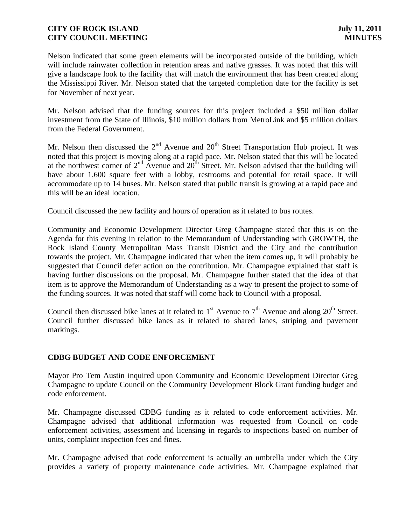Nelson indicated that some green elements will be incorporated outside of the building, which will include rainwater collection in retention areas and native grasses. It was noted that this will give a landscape look to the facility that will match the environment that has been created along the Mississippi River. Mr. Nelson stated that the targeted completion date for the facility is set for November of next year.

Mr. Nelson advised that the funding sources for this project included a \$50 million dollar investment from the State of Illinois, \$10 million dollars from MetroLink and \$5 million dollars from the Federal Government.

Mr. Nelson then discussed the  $2<sup>nd</sup>$  Avenue and  $20<sup>th</sup>$  Street Transportation Hub project. It was noted that this project is moving along at a rapid pace. Mr. Nelson stated that this will be located at the northwest corner of  $2<sup>nd</sup>$  Avenue and  $20<sup>th</sup>$  Street. Mr. Nelson advised that the building will have about 1,600 square feet with a lobby, restrooms and potential for retail space. It will accommodate up to 14 buses. Mr. Nelson stated that public transit is growing at a rapid pace and this will be an ideal location.

Council discussed the new facility and hours of operation as it related to bus routes.

Community and Economic Development Director Greg Champagne stated that this is on the Agenda for this evening in relation to the Memorandum of Understanding with GROWTH, the Rock Island County Metropolitan Mass Transit District and the City and the contribution towards the project. Mr. Champagne indicated that when the item comes up, it will probably be suggested that Council defer action on the contribution. Mr. Champagne explained that staff is having further discussions on the proposal. Mr. Champagne further stated that the idea of that item is to approve the Memorandum of Understanding as a way to present the project to some of the funding sources. It was noted that staff will come back to Council with a proposal.

Council then discussed bike lanes at it related to  $1<sup>st</sup>$  Avenue to  $7<sup>th</sup>$  Avenue and along  $20<sup>th</sup>$  Street. Council further discussed bike lanes as it related to shared lanes, striping and pavement markings.

## **CDBG BUDGET AND CODE ENFORCEMENT**

Mayor Pro Tem Austin inquired upon Community and Economic Development Director Greg Champagne to update Council on the Community Development Block Grant funding budget and code enforcement.

Mr. Champagne discussed CDBG funding as it related to code enforcement activities. Mr. Champagne advised that additional information was requested from Council on code enforcement activities, assessment and licensing in regards to inspections based on number of units, complaint inspection fees and fines.

Mr. Champagne advised that code enforcement is actually an umbrella under which the City provides a variety of property maintenance code activities. Mr. Champagne explained that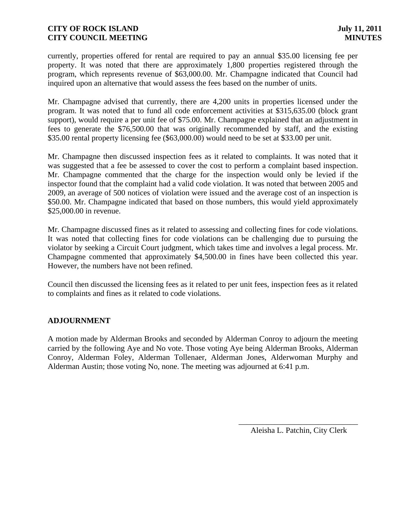currently, properties offered for rental are required to pay an annual \$35.00 licensing fee per property. It was noted that there are approximately 1,800 properties registered through the program, which represents revenue of \$63,000.00. Mr. Champagne indicated that Council had inquired upon an alternative that would assess the fees based on the number of units.

Mr. Champagne advised that currently, there are 4,200 units in properties licensed under the program. It was noted that to fund all code enforcement activities at \$315,635.00 (block grant support), would require a per unit fee of \$75.00. Mr. Champagne explained that an adjustment in fees to generate the \$76,500.00 that was originally recommended by staff, and the existing \$35.00 rental property licensing fee (\$63,000.00) would need to be set at \$33.00 per unit.

Mr. Champagne then discussed inspection fees as it related to complaints. It was noted that it was suggested that a fee be assessed to cover the cost to perform a complaint based inspection. Mr. Champagne commented that the charge for the inspection would only be levied if the inspector found that the complaint had a valid code violation. It was noted that between 2005 and 2009, an average of 500 notices of violation were issued and the average cost of an inspection is \$50.00. Mr. Champagne indicated that based on those numbers, this would yield approximately \$25,000.00 in revenue.

Mr. Champagne discussed fines as it related to assessing and collecting fines for code violations. It was noted that collecting fines for code violations can be challenging due to pursuing the violator by seeking a Circuit Court judgment, which takes time and involves a legal process. Mr. Champagne commented that approximately \$4,500.00 in fines have been collected this year. However, the numbers have not been refined.

Council then discussed the licensing fees as it related to per unit fees, inspection fees as it related to complaints and fines as it related to code violations.

## **ADJOURNMENT**

A motion made by Alderman Brooks and seconded by Alderman Conroy to adjourn the meeting carried by the following Aye and No vote. Those voting Aye being Alderman Brooks, Alderman Conroy, Alderman Foley, Alderman Tollenaer, Alderman Jones, Alderwoman Murphy and Alderman Austin; those voting No, none. The meeting was adjourned at 6:41 p.m.

> \_\_\_\_\_\_\_\_\_\_\_\_\_\_\_\_\_\_\_\_\_\_\_\_\_\_\_\_\_\_ Aleisha L. Patchin, City Clerk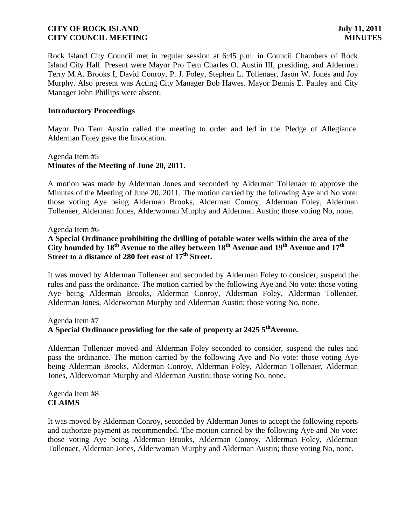Rock Island City Council met in regular session at 6:45 p.m. in Council Chambers of Rock Island City Hall. Present were Mayor Pro Tem Charles O. Austin III, presiding, and Aldermen Terry M.A. Brooks I, David Conroy, P. J. Foley, Stephen L. Tollenaer, Jason W. Jones and Joy Murphy. Also present was Acting City Manager Bob Hawes. Mayor Dennis E. Pauley and City Manager John Phillips were absent.

#### **Introductory Proceedings**

Mayor Pro Tem Austin called the meeting to order and led in the Pledge of Allegiance. Alderman Foley gave the Invocation.

## Agenda Item #5 **Minutes of the Meeting of June 20, 2011.**

A motion was made by Alderman Jones and seconded by Alderman Tollenaer to approve the Minutes of the Meeting of June 20, 2011. The motion carried by the following Aye and No vote; those voting Aye being Alderman Brooks, Alderman Conroy, Alderman Foley, Alderman Tollenaer, Alderman Jones, Alderwoman Murphy and Alderman Austin; those voting No, none.

#### Agenda Item #6

## **A Special Ordinance prohibiting the drilling of potable water wells within the area of the City bounded by 18th Avenue to the alley between 18th Avenue and 19th Avenue and 17th Street to a distance of 280 feet east of 17th Street.**

It was moved by Alderman Tollenaer and seconded by Alderman Foley to consider, suspend the rules and pass the ordinance. The motion carried by the following Aye and No vote: those voting Aye being Alderman Brooks, Alderman Conroy, Alderman Foley, Alderman Tollenaer, Alderman Jones, Alderwoman Murphy and Alderman Austin; those voting No, none.

## Agenda Item #7 **A Special Ordinance providing for the sale of property at 2425 5thAvenue.**

Alderman Tollenaer moved and Alderman Foley seconded to consider, suspend the rules and pass the ordinance. The motion carried by the following Aye and No vote: those voting Aye being Alderman Brooks, Alderman Conroy, Alderman Foley, Alderman Tollenaer, Alderman Jones, Alderwoman Murphy and Alderman Austin; those voting No, none.

Agenda Item #8 **CLAIMS**

It was moved by Alderman Conroy, seconded by Alderman Jones to accept the following reports and authorize payment as recommended. The motion carried by the following Aye and No vote: those voting Aye being Alderman Brooks, Alderman Conroy, Alderman Foley, Alderman Tollenaer, Alderman Jones, Alderwoman Murphy and Alderman Austin; those voting No, none.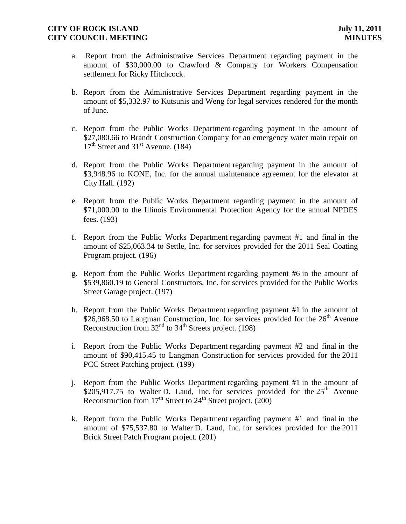- a. Report from the Administrative Services Department regarding payment in the amount of \$30,000.00 to Crawford & Company for Workers Compensation settlement for Ricky Hitchcock.
- b. Report from the Administrative Services Department regarding payment in the amount of \$5,332.97 to Kutsunis and Weng for legal services rendered for the month of June.
- c. Report from the Public Works Department regarding payment in the amount of \$27,080.66 to Brandt Construction Company for an emergency water main repair on  $17<sup>th</sup>$  Street and 31<sup>st</sup> Avenue. (184)
- d. Report from the Public Works Department regarding payment in the amount of \$3,948.96 to KONE, Inc. for the annual maintenance agreement for the elevator at City Hall. (192)
- e. Report from the Public Works Department regarding payment in the amount of \$71,000.00 to the Illinois Environmental Protection Agency for the annual NPDES fees. (193)
- f. Report from the Public Works Department regarding payment #1 and final in the amount of \$25,063.34 to Settle, Inc. for services provided for the 2011 Seal Coating Program project. (196)
- g. Report from the Public Works Department regarding payment #6 in the amount of \$539,860.19 to General Constructors, Inc. for services provided for the Public Works Street Garage project. (197)
- h. Report from the Public Works Department regarding payment #1 in the amount of \$26,968.50 to Langman Construction, Inc. for services provided for the  $26<sup>th</sup>$  Avenue Reconstruction from  $32<sup>nd</sup>$  to  $34<sup>th</sup>$  Streets project. (198)
- i. Report from the Public Works Department regarding payment #2 and final in the amount of \$90,415.45 to Langman Construction for services provided for the 2011 PCC Street Patching project. (199)
- j. Report from the Public Works Department regarding payment #1 in the amount of  $$205,917.75$  to Walter D. Laud, Inc. for services provided for the  $25<sup>th</sup>$  Avenue Reconstruction from  $17<sup>th</sup>$  Street to  $24<sup>th</sup>$  Street project. (200)
- k. Report from the Public Works Department regarding payment #1 and final in the amount of \$75,537.80 to Walter D. Laud, Inc. for services provided for the 2011 Brick Street Patch Program project. (201)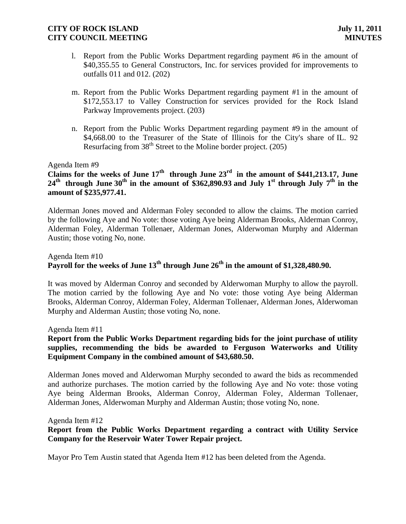- l. Report from the Public Works Department regarding payment #6 in the amount of \$40,355.55 to General Constructors, Inc. for services provided for improvements to outfalls 011 and 012. (202)
- m. Report from the Public Works Department regarding payment #1 in the amount of \$172,553.17 to Valley Construction for services provided for the Rock Island Parkway Improvements project. (203)
- n. Report from the Public Works Department regarding payment #9 in the amount of \$4,668.00 to the Treasurer of the State of Illinois for the City's share of IL. 92 Resurfacing from  $38<sup>th</sup>$  Street to the Moline border project. (205)

#### Agenda Item #9

# **Claims for the weeks of June 17th through June 23rd in the amount of \$441,213.17, June 24th through June 30th in the amount of \$362,890.93 and July 1st through July 7 th in the amount of \$235,977.41.**

Alderman Jones moved and Alderman Foley seconded to allow the claims. The motion carried by the following Aye and No vote: those voting Aye being Alderman Brooks, Alderman Conroy, Alderman Foley, Alderman Tollenaer, Alderman Jones, Alderwoman Murphy and Alderman Austin; those voting No, none.

## Agenda Item #10 **Payroll for the weeks of June 13th through June 26th in the amount of \$1,328,480.90.**

It was moved by Alderman Conroy and seconded by Alderwoman Murphy to allow the payroll. The motion carried by the following Aye and No vote: those voting Aye being Alderman Brooks, Alderman Conroy, Alderman Foley, Alderman Tollenaer, Alderman Jones, Alderwoman Murphy and Alderman Austin; those voting No, none.

#### Agenda Item #11

## **Report from the Public Works Department regarding bids for the joint purchase of utility supplies, recommending the bids be awarded to Ferguson Waterworks and Utility Equipment Company in the combined amount of \$43,680.50.**

Alderman Jones moved and Alderwoman Murphy seconded to award the bids as recommended and authorize purchases. The motion carried by the following Aye and No vote: those voting Aye being Alderman Brooks, Alderman Conroy, Alderman Foley, Alderman Tollenaer, Alderman Jones, Alderwoman Murphy and Alderman Austin; those voting No, none.

#### Agenda Item #12

## **Report from the Public Works Department regarding a contract with Utility Service Company for the Reservoir Water Tower Repair project.**

Mayor Pro Tem Austin stated that Agenda Item #12 has been deleted from the Agenda.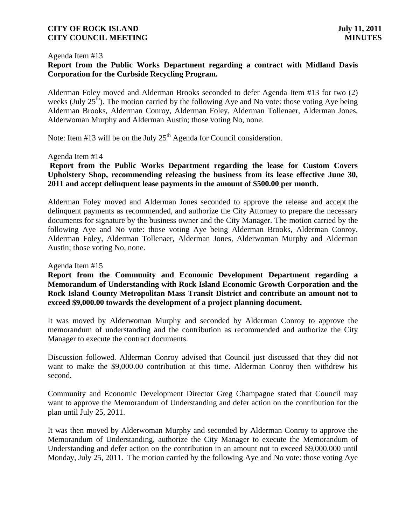#### Agenda Item #13

## **Report from the Public Works Department regarding a contract with Midland Davis Corporation for the Curbside Recycling Program.**

Alderman Foley moved and Alderman Brooks seconded to defer Agenda Item #13 for two (2) weeks (July  $25<sup>th</sup>$ ). The motion carried by the following Aye and No vote: those voting Aye being Alderman Brooks, Alderman Conroy, Alderman Foley, Alderman Tollenaer, Alderman Jones, Alderwoman Murphy and Alderman Austin; those voting No, none.

Note: Item #13 will be on the July  $25<sup>th</sup>$  Agenda for Council consideration.

#### Agenda Item #14

## **Report from the Public Works Department regarding the lease for Custom Covers Upholstery Shop, recommending releasing the business from its lease effective June 30, 2011 and accept delinquent lease payments in the amount of \$500.00 per month.**

Alderman Foley moved and Alderman Jones seconded to approve the release and accept the delinquent payments as recommended, and authorize the City Attorney to prepare the necessary documents for signature by the business owner and the City Manager. The motion carried by the following Aye and No vote: those voting Aye being Alderman Brooks, Alderman Conroy, Alderman Foley, Alderman Tollenaer, Alderman Jones, Alderwoman Murphy and Alderman Austin; those voting No, none.

#### Agenda Item #15

### **Report from the Community and Economic Development Department regarding a Memorandum of Understanding with Rock Island Economic Growth Corporation and the Rock Island County Metropolitan Mass Transit District and contribute an amount not to exceed \$9,000.00 towards the development of a project planning document.**

It was moved by Alderwoman Murphy and seconded by Alderman Conroy to approve the memorandum of understanding and the contribution as recommended and authorize the City Manager to execute the contract documents.

Discussion followed. Alderman Conroy advised that Council just discussed that they did not want to make the \$9,000.00 contribution at this time. Alderman Conroy then withdrew his second.

Community and Economic Development Director Greg Champagne stated that Council may want to approve the Memorandum of Understanding and defer action on the contribution for the plan until July 25, 2011.

It was then moved by Alderwoman Murphy and seconded by Alderman Conroy to approve the Memorandum of Understanding, authorize the City Manager to execute the Memorandum of Understanding and defer action on the contribution in an amount not to exceed \$9,000.000 until Monday, July 25, 2011. The motion carried by the following Aye and No vote: those voting Aye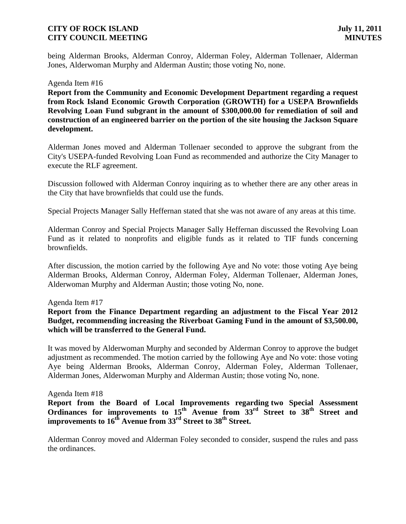being Alderman Brooks, Alderman Conroy, Alderman Foley, Alderman Tollenaer, Alderman Jones, Alderwoman Murphy and Alderman Austin; those voting No, none.

#### Agenda Item #16

**Report from the Community and Economic Development Department regarding a request from Rock Island Economic Growth Corporation (GROWTH) for a USEPA Brownfields Revolving Loan Fund subgrant in the amount of \$300,000.00 for remediation of soil and construction of an engineered barrier on the portion of the site housing the Jackson Square development.**

Alderman Jones moved and Alderman Tollenaer seconded to approve the subgrant from the City's USEPA-funded Revolving Loan Fund as recommended and authorize the City Manager to execute the RLF agreement.

Discussion followed with Alderman Conroy inquiring as to whether there are any other areas in the City that have brownfields that could use the funds.

Special Projects Manager Sally Heffernan stated that she was not aware of any areas at this time.

Alderman Conroy and Special Projects Manager Sally Heffernan discussed the Revolving Loan Fund as it related to nonprofits and eligible funds as it related to TIF funds concerning brownfields.

After discussion, the motion carried by the following Aye and No vote: those voting Aye being Alderman Brooks, Alderman Conroy, Alderman Foley, Alderman Tollenaer, Alderman Jones, Alderwoman Murphy and Alderman Austin; those voting No, none.

#### Agenda Item #17

**Report from the Finance Department regarding an adjustment to the Fiscal Year 2012 Budget, recommending increasing the Riverboat Gaming Fund in the amount of \$3,500.00, which will be transferred to the General Fund.**

It was moved by Alderwoman Murphy and seconded by Alderman Conroy to approve the budget adjustment as recommended. The motion carried by the following Aye and No vote: those voting Aye being Alderman Brooks, Alderman Conroy, Alderman Foley, Alderman Tollenaer, Alderman Jones, Alderwoman Murphy and Alderman Austin; those voting No, none.

#### Agenda Item #18

**Report from the Board of Local Improvements regarding two Special Assessment Ordinances for improvements to 15th Avenue from 33rd Street to 38th Street and improvements to 16th Avenue from 33rd Street to 38th Street.**

Alderman Conroy moved and Alderman Foley seconded to consider, suspend the rules and pass the ordinances.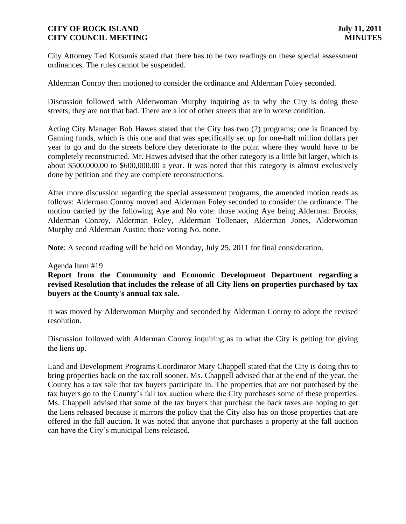City Attorney Ted Kutsunis stated that there has to be two readings on these special assessment ordinances. The rules cannot be suspended.

Alderman Conroy then motioned to consider the ordinance and Alderman Foley seconded.

Discussion followed with Alderwoman Murphy inquiring as to why the City is doing these streets; they are not that bad. There are a lot of other streets that are in worse condition.

Acting City Manager Bob Hawes stated that the City has two (2) programs; one is financed by Gaming funds, which is this one and that was specifically set up for one-half million dollars per year to go and do the streets before they deteriorate to the point where they would have to be completely reconstructed. Mr. Hawes advised that the other category is a little bit larger, which is about \$500,000.00 to \$600,000.00 a year. It was noted that this category is almost exclusively done by petition and they are complete reconstructions.

After more discussion regarding the special assessment programs, the amended motion reads as follows: Alderman Conroy moved and Alderman Foley seconded to consider the ordinance. The motion carried by the following Aye and No vote: those voting Aye being Alderman Brooks, Alderman Conroy, Alderman Foley, Alderman Tollenaer, Alderman Jones, Alderwoman Murphy and Alderman Austin; those voting No, none.

**Note**: A second reading will be held on Monday, July 25, 2011 for final consideration.

#### Agenda Item #19

**Report from the Community and Economic Development Department regarding a revised Resolution that includes the release of all City liens on properties purchased by tax buyers at the County's annual tax sale.**

It was moved by Alderwoman Murphy and seconded by Alderman Conroy to adopt the revised resolution.

Discussion followed with Alderman Conroy inquiring as to what the City is getting for giving the liens up.

Land and Development Programs Coordinator Mary Chappell stated that the City is doing this to bring properties back on the tax roll sooner. Ms. Chappell advised that at the end of the year, the County has a tax sale that tax buyers participate in. The properties that are not purchased by the tax buyers go to the County's fall tax auction where the City purchases some of these properties. Ms. Chappell advised that some of the tax buyers that purchase the back taxes are hoping to get the liens released because it mirrors the policy that the City also has on those properties that are offered in the fall auction. It was noted that anyone that purchases a property at the fall auction can have the City's municipal liens released.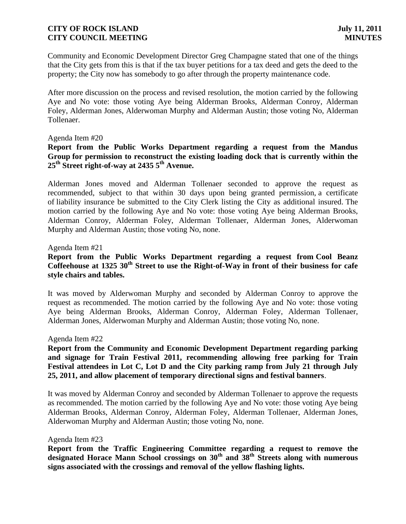Community and Economic Development Director Greg Champagne stated that one of the things that the City gets from this is that if the tax buyer petitions for a tax deed and gets the deed to the property; the City now has somebody to go after through the property maintenance code.

After more discussion on the process and revised resolution, the motion carried by the following Aye and No vote: those voting Aye being Alderman Brooks, Alderman Conroy, Alderman Foley, Alderman Jones, Alderwoman Murphy and Alderman Austin; those voting No, Alderman Tollenaer.

#### Agenda Item #20

## **Report from the Public Works Department regarding a request from the Mandus Group for permission to reconstruct the existing loading dock that is currently within the 25th Street right-of-way at 2435 5th Avenue.**

Alderman Jones moved and Alderman Tollenaer seconded to approve the request as recommended, subject to that within 30 days upon being granted permission, a certificate of liability insurance be submitted to the City Clerk listing the City as additional insured. The motion carried by the following Aye and No vote: those voting Aye being Alderman Brooks, Alderman Conroy, Alderman Foley, Alderman Tollenaer, Alderman Jones, Alderwoman Murphy and Alderman Austin; those voting No, none.

#### Agenda Item #21

## **Report from the Public Works Department regarding a request from Cool Beanz Coffeehouse at 1325 30th Street to use the Right-of-Way in front of their business for cafe style chairs and tables.**

It was moved by Alderwoman Murphy and seconded by Alderman Conroy to approve the request as recommended. The motion carried by the following Aye and No vote: those voting Aye being Alderman Brooks, Alderman Conroy, Alderman Foley, Alderman Tollenaer, Alderman Jones, Alderwoman Murphy and Alderman Austin; those voting No, none.

#### Agenda Item #22

### **Report from the Community and Economic Development Department regarding parking and signage for Train Festival 2011, recommending allowing free parking for Train Festival attendees in Lot C, Lot D and the City parking ramp from July 21 through July 25, 2011, and allow placement of temporary directional signs and festival banners**.

It was moved by Alderman Conroy and seconded by Alderman Tollenaer to approve the requests as recommended. The motion carried by the following Aye and No vote: those voting Aye being Alderman Brooks, Alderman Conroy, Alderman Foley, Alderman Tollenaer, Alderman Jones, Alderwoman Murphy and Alderman Austin; those voting No, none.

#### Agenda Item #23

**Report from the Traffic Engineering Committee regarding a request to remove the designated Horace Mann School crossings on 30th and 38th Streets along with numerous signs associated with the crossings and removal of the yellow flashing lights.**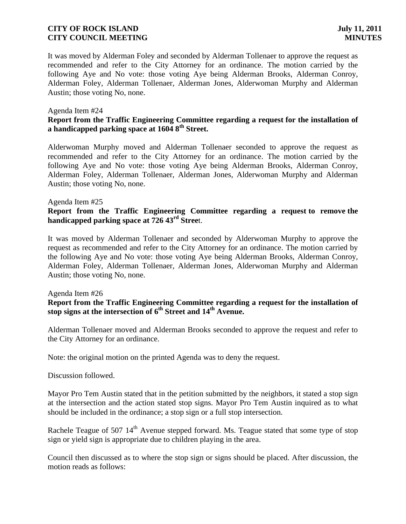It was moved by Alderman Foley and seconded by Alderman Tollenaer to approve the request as recommended and refer to the City Attorney for an ordinance. The motion carried by the following Aye and No vote: those voting Aye being Alderman Brooks, Alderman Conroy, Alderman Foley, Alderman Tollenaer, Alderman Jones, Alderwoman Murphy and Alderman Austin; those voting No, none.

#### Agenda Item #24

### **Report from the Traffic Engineering Committee regarding a request for the installation of a handicapped parking space at 1604 8th Street.**

Alderwoman Murphy moved and Alderman Tollenaer seconded to approve the request as recommended and refer to the City Attorney for an ordinance. The motion carried by the following Aye and No vote: those voting Aye being Alderman Brooks, Alderman Conroy, Alderman Foley, Alderman Tollenaer, Alderman Jones, Alderwoman Murphy and Alderman Austin; those voting No, none.

#### Agenda Item #25

### **Report from the Traffic Engineering Committee regarding a request to remove the handicapped parking space at 726 43rd Stree**t.

It was moved by Alderman Tollenaer and seconded by Alderwoman Murphy to approve the request as recommended and refer to the City Attorney for an ordinance. The motion carried by the following Aye and No vote: those voting Aye being Alderman Brooks, Alderman Conroy, Alderman Foley, Alderman Tollenaer, Alderman Jones, Alderwoman Murphy and Alderman Austin; those voting No, none.

#### Agenda Item #26

### **Report from the Traffic Engineering Committee regarding a request for the installation of stop signs at the intersection of 6th Street and 14th Avenue.**

Alderman Tollenaer moved and Alderman Brooks seconded to approve the request and refer to the City Attorney for an ordinance.

Note: the original motion on the printed Agenda was to deny the request.

Discussion followed.

Mayor Pro Tem Austin stated that in the petition submitted by the neighbors, it stated a stop sign at the intersection and the action stated stop signs. Mayor Pro Tem Austin inquired as to what should be included in the ordinance; a stop sign or a full stop intersection.

Rachele Teague of 507  $14<sup>th</sup>$  Avenue stepped forward. Ms. Teague stated that some type of stop sign or yield sign is appropriate due to children playing in the area.

Council then discussed as to where the stop sign or signs should be placed. After discussion, the motion reads as follows: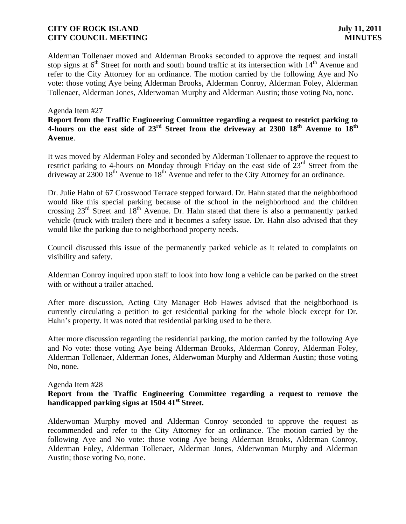Alderman Tollenaer moved and Alderman Brooks seconded to approve the request and install stop signs at  $6<sup>th</sup>$  Street for north and south bound traffic at its intersection with  $14<sup>th</sup>$  Avenue and refer to the City Attorney for an ordinance. The motion carried by the following Aye and No vote: those voting Aye being Alderman Brooks, Alderman Conroy, Alderman Foley, Alderman Tollenaer, Alderman Jones, Alderwoman Murphy and Alderman Austin; those voting No, none.

#### Agenda Item #27

### **Report from the Traffic Engineering Committee regarding a request to restrict parking to 4-hours on the east side of 23rd Street from the driveway at 2300 18th Avenue to 18th Avenue**.

It was moved by Alderman Foley and seconded by Alderman Tollenaer to approve the request to restrict parking to 4-hours on Monday through Friday on the east side of  $23<sup>rd</sup>$  Street from the driveway at  $2300\ 18<sup>th</sup>$  Avenue to  $18<sup>th</sup>$  Avenue and refer to the City Attorney for an ordinance.

Dr. Julie Hahn of 67 Crosswood Terrace stepped forward. Dr. Hahn stated that the neighborhood would like this special parking because of the school in the neighborhood and the children crossing  $23<sup>rd</sup>$  Street and  $18<sup>th</sup>$  Avenue. Dr. Hahn stated that there is also a permanently parked vehicle (truck with trailer) there and it becomes a safety issue. Dr. Hahn also advised that they would like the parking due to neighborhood property needs.

Council discussed this issue of the permanently parked vehicle as it related to complaints on visibility and safety.

Alderman Conroy inquired upon staff to look into how long a vehicle can be parked on the street with or without a trailer attached.

After more discussion, Acting City Manager Bob Hawes advised that the neighborhood is currently circulating a petition to get residential parking for the whole block except for Dr. Hahn's property. It was noted that residential parking used to be there.

After more discussion regarding the residential parking, the motion carried by the following Aye and No vote: those voting Aye being Alderman Brooks, Alderman Conroy, Alderman Foley, Alderman Tollenaer, Alderman Jones, Alderwoman Murphy and Alderman Austin; those voting No, none.

Agenda Item #28

#### **Report from the Traffic Engineering Committee regarding a request to remove the handicapped parking signs at 1504 41st Street.**

Alderwoman Murphy moved and Alderman Conroy seconded to approve the request as recommended and refer to the City Attorney for an ordinance. The motion carried by the following Aye and No vote: those voting Aye being Alderman Brooks, Alderman Conroy, Alderman Foley, Alderman Tollenaer, Alderman Jones, Alderwoman Murphy and Alderman Austin; those voting No, none.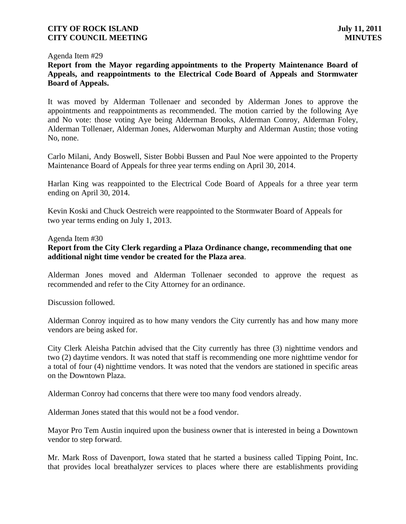#### Agenda Item #29

**Report from the Mayor regarding appointments to the Property Maintenance Board of Appeals, and reappointments to the Electrical Code Board of Appeals and Stormwater Board of Appeals.**

It was moved by Alderman Tollenaer and seconded by Alderman Jones to approve the appointments and reappointments as recommended. The motion carried by the following Aye and No vote: those voting Aye being Alderman Brooks, Alderman Conroy, Alderman Foley, Alderman Tollenaer, Alderman Jones, Alderwoman Murphy and Alderman Austin; those voting No, none.

Carlo Milani, Andy Boswell, Sister Bobbi Bussen and Paul Noe were appointed to the Property Maintenance Board of Appeals for three year terms ending on April 30, 2014.

Harlan King was reappointed to the Electrical Code Board of Appeals for a three year term ending on April 30, 2014.

Kevin Koski and Chuck Oestreich were reappointed to the Stormwater Board of Appeals for two year terms ending on July 1, 2013.

#### Agenda Item #30

## **Report from the City Clerk regarding a Plaza Ordinance change, recommending that one additional night time vendor be created for the Plaza area**.

Alderman Jones moved and Alderman Tollenaer seconded to approve the request as recommended and refer to the City Attorney for an ordinance.

Discussion followed.

Alderman Conroy inquired as to how many vendors the City currently has and how many more vendors are being asked for.

City Clerk Aleisha Patchin advised that the City currently has three (3) nighttime vendors and two (2) daytime vendors. It was noted that staff is recommending one more nighttime vendor for a total of four (4) nighttime vendors. It was noted that the vendors are stationed in specific areas on the Downtown Plaza.

Alderman Conroy had concerns that there were too many food vendors already.

Alderman Jones stated that this would not be a food vendor.

Mayor Pro Tem Austin inquired upon the business owner that is interested in being a Downtown vendor to step forward.

Mr. Mark Ross of Davenport, Iowa stated that he started a business called Tipping Point, Inc. that provides local breathalyzer services to places where there are establishments providing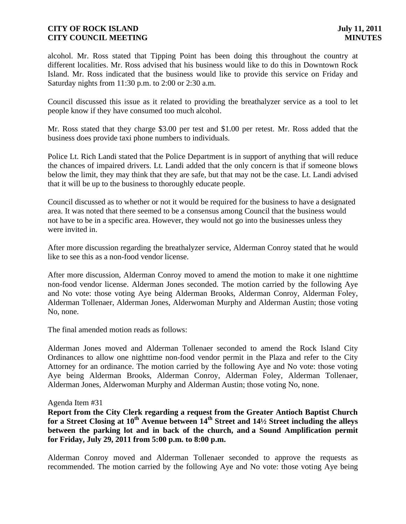alcohol. Mr. Ross stated that Tipping Point has been doing this throughout the country at different localities. Mr. Ross advised that his business would like to do this in Downtown Rock Island. Mr. Ross indicated that the business would like to provide this service on Friday and Saturday nights from 11:30 p.m. to 2:00 or 2:30 a.m.

Council discussed this issue as it related to providing the breathalyzer service as a tool to let people know if they have consumed too much alcohol.

Mr. Ross stated that they charge \$3.00 per test and \$1.00 per retest. Mr. Ross added that the business does provide taxi phone numbers to individuals.

Police Lt. Rich Landi stated that the Police Department is in support of anything that will reduce the chances of impaired drivers. Lt. Landi added that the only concern is that if someone blows below the limit, they may think that they are safe, but that may not be the case. Lt. Landi advised that it will be up to the business to thoroughly educate people.

Council discussed as to whether or not it would be required for the business to have a designated area. It was noted that there seemed to be a consensus among Council that the business would not have to be in a specific area. However, they would not go into the businesses unless they were invited in.

After more discussion regarding the breathalyzer service, Alderman Conroy stated that he would like to see this as a non-food vendor license.

After more discussion, Alderman Conroy moved to amend the motion to make it one nighttime non-food vendor license. Alderman Jones seconded. The motion carried by the following Aye and No vote: those voting Aye being Alderman Brooks, Alderman Conroy, Alderman Foley, Alderman Tollenaer, Alderman Jones, Alderwoman Murphy and Alderman Austin; those voting No, none.

The final amended motion reads as follows:

Alderman Jones moved and Alderman Tollenaer seconded to amend the Rock Island City Ordinances to allow one nighttime non-food vendor permit in the Plaza and refer to the City Attorney for an ordinance. The motion carried by the following Aye and No vote: those voting Aye being Alderman Brooks, Alderman Conroy, Alderman Foley, Alderman Tollenaer, Alderman Jones, Alderwoman Murphy and Alderman Austin; those voting No, none.

#### Agenda Item #31

**Report from the City Clerk regarding a request from the Greater Antioch Baptist Church for a Street Closing at 10th Avenue between 14th Street and 14½ Street including the alleys between the parking lot and in back of the church, and a Sound Amplification permit for Friday, July 29, 2011 from 5:00 p.m. to 8:00 p.m.**

Alderman Conroy moved and Alderman Tollenaer seconded to approve the requests as recommended. The motion carried by the following Aye and No vote: those voting Aye being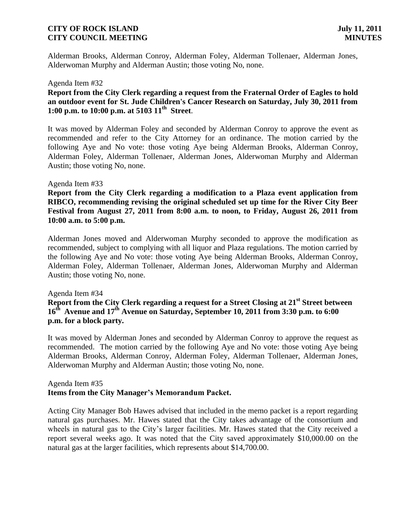Alderman Brooks, Alderman Conroy, Alderman Foley, Alderman Tollenaer, Alderman Jones, Alderwoman Murphy and Alderman Austin; those voting No, none.

#### Agenda Item #32

### **Report from the City Clerk regarding a request from the Fraternal Order of Eagles to hold an outdoor event for St. Jude Children's Cancer Research on Saturday, July 30, 2011 from 1:00 p.m. to 10:00 p.m. at 5103 11th Street**.

It was moved by Alderman Foley and seconded by Alderman Conroy to approve the event as recommended and refer to the City Attorney for an ordinance. The motion carried by the following Aye and No vote: those voting Aye being Alderman Brooks, Alderman Conroy, Alderman Foley, Alderman Tollenaer, Alderman Jones, Alderwoman Murphy and Alderman Austin; those voting No, none.

#### Agenda Item #33

**Report from the City Clerk regarding a modification to a Plaza event application from RIBCO, recommending revising the original scheduled set up time for the River City Beer Festival from August 27, 2011 from 8:00 a.m. to noon, to Friday, August 26, 2011 from 10:00 a.m. to 5:00 p.m.**

Alderman Jones moved and Alderwoman Murphy seconded to approve the modification as recommended, subject to complying with all liquor and Plaza regulations. The motion carried by the following Aye and No vote: those voting Aye being Alderman Brooks, Alderman Conroy, Alderman Foley, Alderman Tollenaer, Alderman Jones, Alderwoman Murphy and Alderman Austin; those voting No, none.

#### Agenda Item #34

## **Report from the City Clerk regarding a request for a Street Closing at 21st Street between 16th Avenue and 17th Avenue on Saturday, September 10, 2011 from 3:30 p.m. to 6:00 p.m. for a block party.**

It was moved by Alderman Jones and seconded by Alderman Conroy to approve the request as recommended. The motion carried by the following Aye and No vote: those voting Aye being Alderman Brooks, Alderman Conroy, Alderman Foley, Alderman Tollenaer, Alderman Jones, Alderwoman Murphy and Alderman Austin; those voting No, none.

#### Agenda Item #35 **Items from the City Manager's Memorandum Packet.**

Acting City Manager Bob Hawes advised that included in the memo packet is a report regarding natural gas purchases. Mr. Hawes stated that the City takes advantage of the consortium and wheels in natural gas to the City's larger facilities. Mr. Hawes stated that the City received a report several weeks ago. It was noted that the City saved approximately \$10,000.00 on the natural gas at the larger facilities, which represents about \$14,700.00.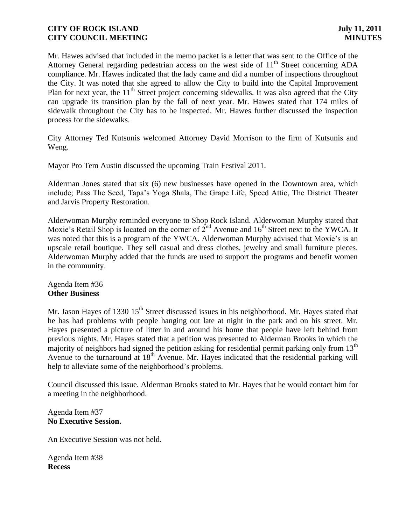Mr. Hawes advised that included in the memo packet is a letter that was sent to the Office of the Attorney General regarding pedestrian access on the west side of 11<sup>th</sup> Street concerning ADA compliance. Mr. Hawes indicated that the lady came and did a number of inspections throughout the City. It was noted that she agreed to allow the City to build into the Capital Improvement Plan for next year, the  $11<sup>th</sup>$  Street project concerning sidewalks. It was also agreed that the City can upgrade its transition plan by the fall of next year. Mr. Hawes stated that 174 miles of sidewalk throughout the City has to be inspected. Mr. Hawes further discussed the inspection process for the sidewalks.

City Attorney Ted Kutsunis welcomed Attorney David Morrison to the firm of Kutsunis and Weng.

Mayor Pro Tem Austin discussed the upcoming Train Festival 2011.

Alderman Jones stated that six (6) new businesses have opened in the Downtown area, which include; Pass The Seed, Tapa's Yoga Shala, The Grape Life, Speed Attic, The District Theater and Jarvis Property Restoration.

Alderwoman Murphy reminded everyone to Shop Rock Island. Alderwoman Murphy stated that Moxie's Retail Shop is located on the corner of  $2^{nd}$  Avenue and  $16^{th}$  Street next to the YWCA. It was noted that this is a program of the YWCA. Alderwoman Murphy advised that Moxie's is an upscale retail boutique. They sell casual and dress clothes, jewelry and small furniture pieces. Alderwoman Murphy added that the funds are used to support the programs and benefit women in the community.

Agenda Item #36 **Other Business**

Mr. Jason Hayes of 1330 15<sup>th</sup> Street discussed issues in his neighborhood. Mr. Hayes stated that he has had problems with people hanging out late at night in the park and on his street. Mr. Hayes presented a picture of litter in and around his home that people have left behind from previous nights. Mr. Hayes stated that a petition was presented to Alderman Brooks in which the majority of neighbors had signed the petition asking for residential permit parking only from 13<sup>th</sup> Avenue to the turnaround at  $18<sup>th</sup>$  Avenue. Mr. Hayes indicated that the residential parking will help to alleviate some of the neighborhood's problems.

Council discussed this issue. Alderman Brooks stated to Mr. Hayes that he would contact him for a meeting in the neighborhood.

#### Agenda Item #37 **No Executive Session.**

An Executive Session was not held.

Agenda Item #38 **Recess**